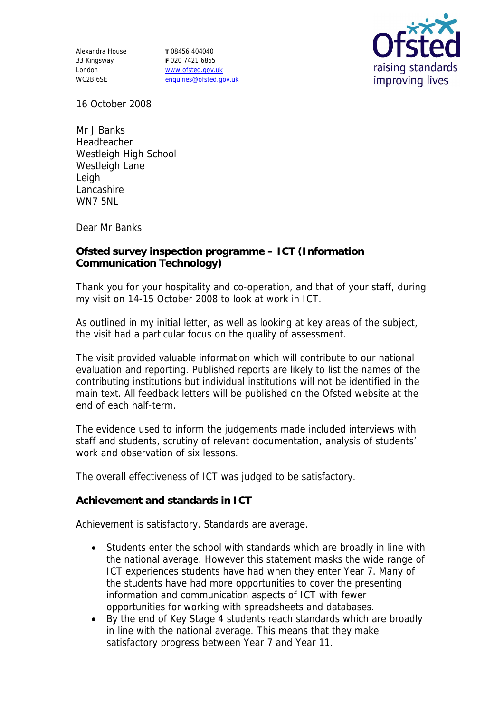Alexandra House 33 Kingsway London WC2B 6SE

**T** 08456 404040 **F** 020 7421 6855 www.ofsted.gov.uk enquiries@ofsted.gov.uk



16 October 2008

Mr J Banks Headteacher Westleigh High School Westleigh Lane Leigh Lancashire WN7 5NL

Dear Mr Banks

**Ofsted survey inspection programme – ICT (Information Communication Technology)**

Thank you for your hospitality and co-operation, and that of your staff, during my visit on 14-15 October 2008 to look at work in ICT.

As outlined in my initial letter, as well as looking at key areas of the subject, the visit had a particular focus on the quality of assessment.

The visit provided valuable information which will contribute to our national evaluation and reporting. Published reports are likely to list the names of the contributing institutions but individual institutions will not be identified in the main text. All feedback letters will be published on the Ofsted website at the end of each half-term.

The evidence used to inform the judgements made included interviews with staff and students, scrutiny of relevant documentation, analysis of students' work and observation of six lessons.

The overall effectiveness of ICT was judged to be satisfactory.

**Achievement and standards in ICT**

Achievement is satisfactory. Standards are average.

- Students enter the school with standards which are broadly in line with the national average. However this statement masks the wide range of ICT experiences students have had when they enter Year 7. Many of the students have had more opportunities to cover the presenting information and communication aspects of ICT with fewer opportunities for working with spreadsheets and databases.
- By the end of Key Stage 4 students reach standards which are broadly in line with the national average. This means that they make satisfactory progress between Year 7 and Year 11.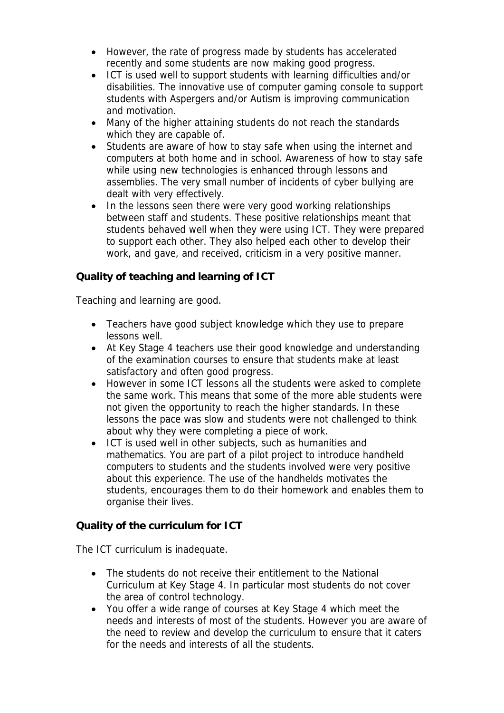- However, the rate of progress made by students has accelerated recently and some students are now making good progress.
- ICT is used well to support students with learning difficulties and/or disabilities. The innovative use of computer gaming console to support students with Aspergers and/or Autism is improving communication and motivation.
- Many of the higher attaining students do not reach the standards which they are capable of.
- Students are aware of how to stay safe when using the internet and computers at both home and in school. Awareness of how to stay safe while using new technologies is enhanced through lessons and assemblies. The very small number of incidents of cyber bullying are dealt with very effectively.
- In the lessons seen there were very good working relationships between staff and students. These positive relationships meant that students behaved well when they were using ICT. They were prepared to support each other. They also helped each other to develop their work, and gave, and received, criticism in a very positive manner.

**Quality of teaching and learning of ICT**

Teaching and learning are good.

- Teachers have good subject knowledge which they use to prepare lessons well.
- At Key Stage 4 teachers use their good knowledge and understanding of the examination courses to ensure that students make at least satisfactory and often good progress.
- However in some ICT lessons all the students were asked to complete the same work. This means that some of the more able students were not given the opportunity to reach the higher standards. In these lessons the pace was slow and students were not challenged to think about why they were completing a piece of work.
- ICT is used well in other subjects, such as humanities and mathematics. You are part of a pilot project to introduce handheld computers to students and the students involved were very positive about this experience. The use of the handhelds motivates the students, encourages them to do their homework and enables them to organise their lives.

**Quality of the curriculum for ICT**

The ICT curriculum is inadequate.

- The students do not receive their entitlement to the National Curriculum at Key Stage 4. In particular most students do not cover the area of control technology.
- You offer a wide range of courses at Key Stage 4 which meet the needs and interests of most of the students. However you are aware of the need to review and develop the curriculum to ensure that it caters for the needs and interests of all the students.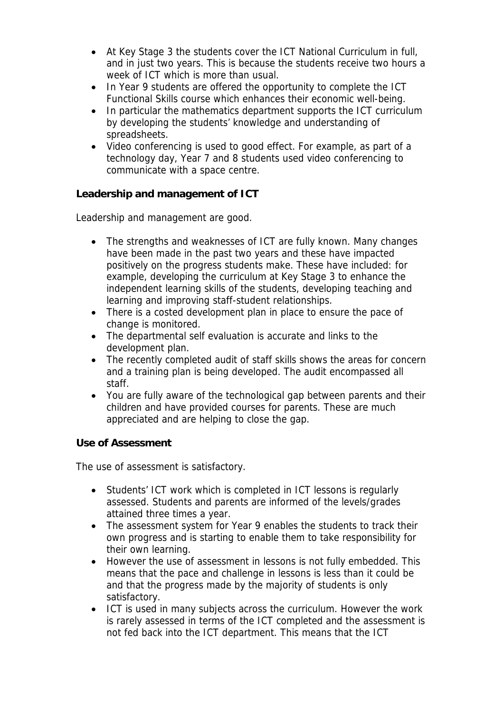- At Key Stage 3 the students cover the ICT National Curriculum in full, and in just two years. This is because the students receive two hours a week of ICT which is more than usual.
- In Year 9 students are offered the opportunity to complete the ICT Functional Skills course which enhances their economic well-being.
- In particular the mathematics department supports the ICT curriculum by developing the students' knowledge and understanding of spreadsheets.
- Video conferencing is used to good effect. For example, as part of a technology day, Year 7 and 8 students used video conferencing to communicate with a space centre.

**Leadership and management of ICT**

Leadership and management are good.

- The strengths and weaknesses of ICT are fully known. Many changes have been made in the past two years and these have impacted positively on the progress students make. These have included: for example, developing the curriculum at Key Stage 3 to enhance the independent learning skills of the students, developing teaching and learning and improving staff-student relationships.
- There is a costed development plan in place to ensure the pace of change is monitored.
- The departmental self evaluation is accurate and links to the development plan.
- The recently completed audit of staff skills shows the areas for concern and a training plan is being developed. The audit encompassed all staff.
- You are fully aware of the technological gap between parents and their children and have provided courses for parents. These are much appreciated and are helping to close the gap.

**Use of Assessment** 

The use of assessment is satisfactory.

- Students' ICT work which is completed in ICT lessons is regularly assessed. Students and parents are informed of the levels/grades attained three times a year.
- The assessment system for Year 9 enables the students to track their own progress and is starting to enable them to take responsibility for their own learning.
- However the use of assessment in lessons is not fully embedded. This means that the pace and challenge in lessons is less than it could be and that the progress made by the majority of students is only satisfactory.
- ICT is used in many subjects across the curriculum. However the work is rarely assessed in terms of the ICT completed and the assessment is not fed back into the ICT department. This means that the ICT